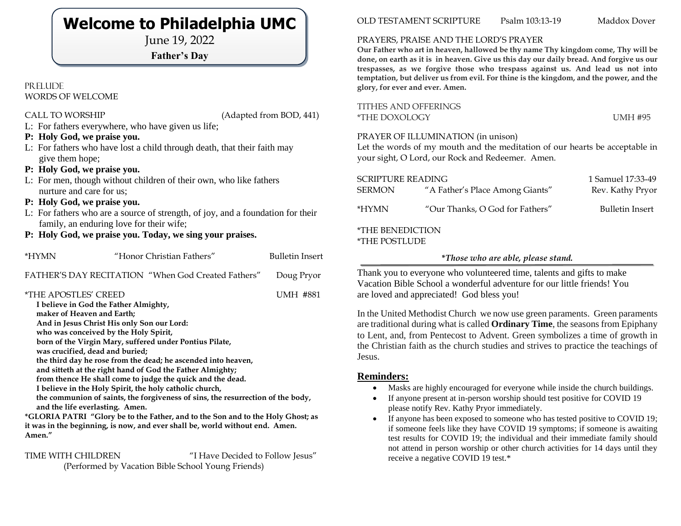## **Welcome to Philadelphia UMC**

June 19, 2022

### **Father's Day**

#### PR ELUDE WORDS OF WELCOME

CALL TO WORSHIP (Adapted from BOD, 441)

- L: For fathers everywhere, who have given us life;
- **P: Holy God, we praise you.**
- L: For fathers who have lost a child through death, that their faith may give them hope;
- **P: Holy God, we praise you.**
- L: For men, though without children of their own, who like fathers nurture and care for us;
- **P: Holy God, we praise you.**
- L: For fathers who are a source of strength, of joy, and a foundation for their family, an enduring love for their wife;
- **P: Holy God, we praise you. Today, we sing your praises.**

| *HYMN                                                                                                                                                                                                                                                                                                                                                                                                                                                                                                                                                                                                                                                |  | "Honor Christian Fathers"                                                                                                                                       | <b>Bulletin Insert</b> |  |
|------------------------------------------------------------------------------------------------------------------------------------------------------------------------------------------------------------------------------------------------------------------------------------------------------------------------------------------------------------------------------------------------------------------------------------------------------------------------------------------------------------------------------------------------------------------------------------------------------------------------------------------------------|--|-----------------------------------------------------------------------------------------------------------------------------------------------------------------|------------------------|--|
|                                                                                                                                                                                                                                                                                                                                                                                                                                                                                                                                                                                                                                                      |  | FATHER'S DAY RECITATION "When God Created Fathers"                                                                                                              | Doug Pryor             |  |
| <i><b>*THE APOSTLES' CREED</b></i><br>UMH #881<br>I believe in God the Father Almighty,<br>maker of Heaven and Earth;<br>And in Jesus Christ His only Son our Lord:<br>who was conceived by the Holy Spirit,<br>born of the Virgin Mary, suffered under Pontius Pilate,<br>was crucified, dead and buried;<br>the third day he rose from the dead; he ascended into heaven,<br>and sitteth at the right hand of God the Father Almighty;<br>from thence He shall come to judge the quick and the dead.<br>I believe in the Holy Spirit, the holy catholic church,<br>the communion of saints, the forgiveness of sins, the resurrection of the body, |  |                                                                                                                                                                 |                        |  |
| Amen."                                                                                                                                                                                                                                                                                                                                                                                                                                                                                                                                                                                                                                               |  | *GLORIA PATRI "Glory be to the Father, and to the Son and to the Holy Ghost; as<br>it was in the beginning, is now, and ever shall be, world without end. Amen. |                        |  |

TIME WITH CHILDREN "I Have Decided to Follow Jesus"

(Performed by Vacation Bible School Young Friends)

OLD TESTAMENT SCRIPTURE Psalm 103:13-19 Maddox Dover

#### PRAYERS, PRAISE AND THE LORD'S PRAYER

**Our Father who art in heaven, hallowed be thy name Thy kingdom come, Thy will be done, on earth as it is in heaven. Give us this day our daily bread. And forgive us our trespasses, as we forgive those who trespass against us. And lead us not into temptation, but deliver us from evil. For thine is the kingdom, and the power, and the glory, for ever and ever. Amen.**

| TITHES AND OFFERINGS |                |
|----------------------|----------------|
| *THE DOXOLOGY        | <b>UMH #95</b> |

#### PRAYER OF ILLUMINATION (in unison)

Let the words of my mouth and the meditation of our hearts be acceptable in your sight, O Lord, our Rock and Redeemer. Amen.

| <b>SCRIPTURE READING</b><br><b>SERMON</b>       | "A Father's Place Among Giants" | 1 Samuel 17:33-49<br>Rev. Kathy Pryor |  |  |
|-------------------------------------------------|---------------------------------|---------------------------------------|--|--|
| *HYMN                                           | "Our Thanks, O God for Fathers" | <b>Bulletin Insert</b>                |  |  |
| <i><b>*THE BENEDICTION</b></i><br>*THE POSTLUDE |                                 |                                       |  |  |

#### **\****Those who are able, please stand.*

Thank you to everyone who volunteered time, talents and gifts to make Vacation Bible School a wonderful adventure for our little friends! You are loved and appreciated! God bless you!

In the United Methodist Church we now use green paraments. Green paraments are traditional during what is called **Ordinary Time**, the seasons from Epiphany to Lent, and, from Pentecost to Advent. Green symbolizes a time of growth in the Christian faith as the church studies and strives to practice the teachings of Jesus.

#### **Reminders:**

- Masks are highly encouraged for everyone while inside the church buildings.
- If anyone present at in-person worship should test positive for COVID 19 please notify Rev. Kathy Pryor immediately.
- If anyone has been exposed to someone who has tested positive to COVID 19; if someone feels like they have COVID 19 symptoms; if someone is awaiting test results for COVID 19; the individual and their immediate family should not attend in person worship or other church activities for 14 days until they receive a negative COVID 19 test.\*